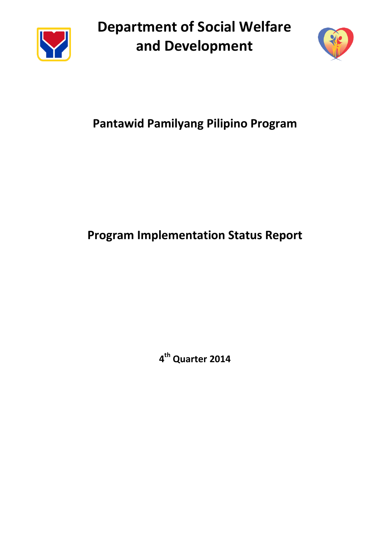

**Department of Social Welfare and Development**



# **Pantawid Pamilyang Pilipino Program**

# **Program Implementation Status Report**

**4 th Quarter 2014**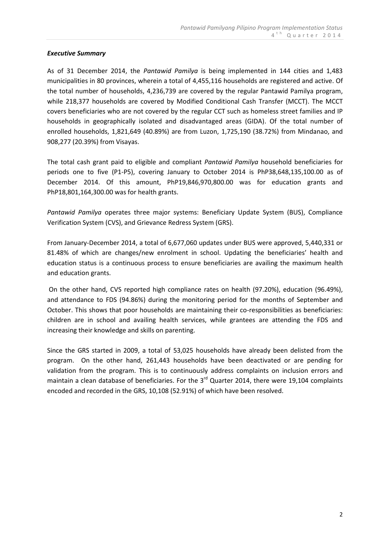## *Executive Summary*

As of 31 December 2014, the *Pantawid Pamilya* is being implemented in 144 cities and 1,483 municipalities in 80 provinces, wherein a total of 4,455,116 households are registered and active. Of the total number of households, 4,236,739 are covered by the regular Pantawid Pamilya program, while 218,377 households are covered by Modified Conditional Cash Transfer (MCCT). The MCCT covers beneficiaries who are not covered by the regular CCT such as homeless street families and IP households in geographically isolated and disadvantaged areas (GIDA). Of the total number of enrolled households, 1,821,649 (40.89%) are from Luzon, 1,725,190 (38.72%) from Mindanao, and 908,277 (20.39%) from Visayas.

The total cash grant paid to eligible and compliant *Pantawid Pamilya* household beneficiaries for periods one to five (P1-P5), covering January to October 2014 is PhP38,648,135,100.00 as of December 2014. Of this amount, PhP19,846,970,800.00 was for education grants and PhP18,801,164,300.00 was for health grants.

*Pantawid Pamilya* operates three major systems: Beneficiary Update System (BUS), Compliance Verification System (CVS), and Grievance Redress System (GRS).

From January-December 2014, a total of 6,677,060 updates under BUS were approved, 5,440,331 or 81.48% of which are changes/new enrolment in school. Updating the beneficiaries' health and education status is a continuous process to ensure beneficiaries are availing the maximum health and education grants.

On the other hand, CVS reported high compliance rates on health (97.20%), education (96.49%), and attendance to FDS (94.86%) during the monitoring period for the months of September and October. This shows that poor households are maintaining their co-responsibilities as beneficiaries: children are in school and availing health services, while grantees are attending the FDS and increasing their knowledge and skills on parenting.

Since the GRS started in 2009, a total of 53,025 households have already been delisted from the program. On the other hand, 261,443 households have been deactivated or are pending for validation from the program. This is to continuously address complaints on inclusion errors and maintain a clean database of beneficiaries. For the  $3<sup>rd</sup>$  Quarter 2014, there were 19,104 complaints encoded and recorded in the GRS, 10,108 (52.91%) of which have been resolved.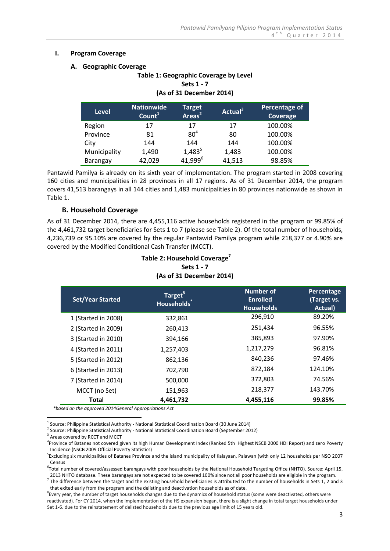#### **I. Program Coverage**

#### **A. Geographic Coverage**

| Table 1: Geographic Coverage by Level<br>Sets 1 - 7<br>(As of 31 December 2014) |                                         |                                           |                     |                           |
|---------------------------------------------------------------------------------|-----------------------------------------|-------------------------------------------|---------------------|---------------------------|
| <b>Level</b>                                                                    | <b>Nationwide</b><br>Count <sup>1</sup> | Target <sup>'</sup><br>Areas <sup>2</sup> | Actual <sup>3</sup> | Percentage of<br>Coverage |
| Region                                                                          | 17                                      | 17                                        | 17                  | 100.00%                   |
| Province                                                                        | 81                                      | 80 <sup>4</sup>                           | 80                  | 100.00%                   |
| City                                                                            | 144                                     | 144                                       | 144                 | 100.00%                   |
| Municipality                                                                    | 1,490                                   | $1,483^5$                                 | 1,483               | 100.00%                   |
| Barangay                                                                        | 42,029                                  | 41,999 <sup>6</sup>                       | 41,513              | 98.85%                    |

Pantawid Pamilya is already on its sixth year of implementation. The program started in 2008 covering 160 cities and municipalities in 28 provinces in all 17 regions. As of 31 December 2014, the program covers 41,513 barangays in all 144 cities and 1,483 municipalities in 80 provinces nationwide as shown in Table 1.

### **B. Household Coverage**

As of 31 December 2014, there are 4,455,116 active households registered in the program or 99.85% of the 4,461,732 target beneficiaries for Sets 1 to 7 (please see Table 2). Of the total number of households, 4,236,739 or 95.10% are covered by the regular Pantawid Pamilya program while 218,377 or 4.90% are covered by the Modified Conditional Cash Transfer (MCCT).

## **Table 2: Household Coverage<sup>7</sup> Sets 1 - 7 (As of 31 December 2014)**

| <b>Set/Year Started</b> | Target <sup>8</sup><br><b>Households</b> | <b>Number of</b><br><b>Enrolled</b><br><b>Households</b> | Percentage<br>(Target vs.<br>Actual) |
|-------------------------|------------------------------------------|----------------------------------------------------------|--------------------------------------|
| 1 (Started in 2008)     | 332,861                                  | 296,910                                                  | 89.20%                               |
| 2 (Started in 2009)     | 260,413                                  | 251,434                                                  | 96.55%                               |
| 3 (Started in 2010)     | 394,166                                  | 385,893                                                  | 97.90%                               |
| 4 (Started in 2011)     | 1,257,403                                | 1,217,279                                                | 96.81%                               |
| 5 (Started in 2012)     | 862,136                                  | 840,236                                                  | 97.46%                               |
| 6 (Started in 2013)     | 702,790                                  | 872,184                                                  | 124.10%                              |
| 7 (Started in 2014)     | 500,000                                  | 372,803                                                  | 74.56%                               |
| MCCT (no Set)           | 151,963                                  | 218,377                                                  | 143.70%                              |
| Total                   | 4,461,732                                | 4,455,116                                                | 99.85%                               |

*\*based on the approved 2014General Appropriations Act*

2 Source: Philippine Statistical Authority - National Statistical Coordination Board (September 2012)

<u>.</u>

6 Total number of covered/assessed barangays with poor households by the National Household Targeting Office (NHTO). Source: April 15, 2013 NHTO database. These barangays are not expected to be covered 100% since not all poor households are eligible in the program.

 $^7$  The difference between the target and the existing household beneficiaries is attributed to the number of households in Sets 1, 2 and 3 that exited early from the program and the delisting and deactivation households as of date.

 $^1$  Source: Philippine Statistical Authority - National Statistical Coordination Board (30 June 2014)

<sup>&</sup>lt;sup>3</sup> Areas covered by RCCT and MCCT

<sup>4</sup> Province of Batanes not covered given its high Human Development Index (Ranked 5th Highest NSCB 2000 HDI Report) and zero Poverty Incidence (NSCB 2009 Official Poverty Statistics)

<sup>&</sup>lt;sup>5</sup>Excluding six municipalities of Batanes Province and the island municipality of Kalayaan, Palawan (with only 12 households per NSO 2007 Census

<sup>&</sup>lt;sup>8</sup>Every year, the number of target households changes due to the dynamics of household status (some were deactivated, others were reactivated). For CY 2014, when the implementation of the HS expansion began, there is a slight change in total target households under Set 1-6. due to the reinstatement of delisted households due to the previous age limit of 15 years old.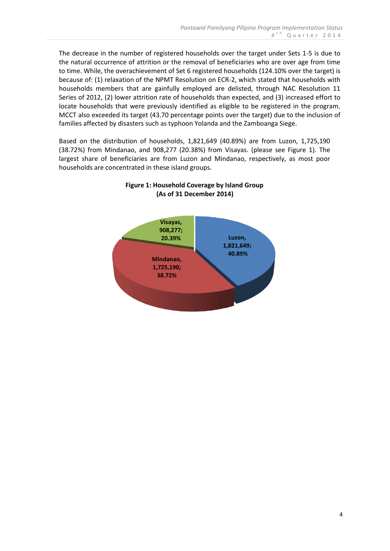The decrease in the number of registered households over the target under Sets 1-5 is due to the natural occurrence of attrition or the removal of beneficiaries who are over age from time to time. While, the overachievement of Set 6 registered households (124.10% over the target) is because of: (1) relaxation of the NPMT Resolution on ECR-2, which stated that households with households members that are gainfully employed are delisted, through NAC Resolution 11 Series of 2012, (2) lower attrition rate of households than expected, and (3) increased effort to locate households that were previously identified as eligible to be registered in the program. MCCT also exceeded its target (43.70 percentage points over the target) due to the inclusion of families affected by disasters such as typhoon Yolanda and the Zamboanga Siege.

Based on the distribution of households, 1,821,649 (40.89%) are from Luzon, 1,725,190 (38.72%) from Mindanao, and 908,277 (20.38%) from Visayas. (please see Figure 1). The largest share of beneficiaries are from Luzon and Mindanao, respectively, as most poor households are concentrated in these island groups.



# **Figure 1: Household Coverage by Island Group (As of 31 December 2014)**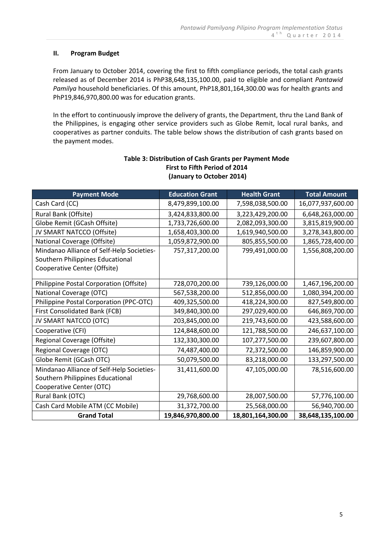### **II. Program Budget**

From January to October 2014, covering the first to fifth compliance periods, the total cash grants released as of December 2014 is PhP38,648,135,100.00, paid to eligible and compliant *Pantawid Pamilya* household beneficiaries. Of this amount, PhP18,801,164,300.00 was for health grants and PhP19,846,970,800.00 was for education grants.

In the effort to continuously improve the delivery of grants, the Department, thru the Land Bank of the Philippines, is engaging other service providers such as Globe Remit, local rural banks, and cooperatives as partner conduits. The table below shows the distribution of cash grants based on the payment modes.

| <b>Payment Mode</b>                       | <b>Education Grant</b> | <b>Health Grant</b> | <b>Total Amount</b> |
|-------------------------------------------|------------------------|---------------------|---------------------|
| Cash Card (CC)                            | 8,479,899,100.00       | 7,598,038,500.00    | 16,077,937,600.00   |
| Rural Bank (Offsite)                      | 3,424,833,800.00       | 3,223,429,200.00    | 6,648,263,000.00    |
| Globe Remit (GCash Offsite)               | 1,733,726,600.00       | 2,082,093,300.00    | 3,815,819,900.00    |
| JV SMART NATCCO (Offsite)                 | 1,658,403,300.00       | 1,619,940,500.00    | 3,278,343,800.00    |
| National Coverage (Offsite)               | 1,059,872,900.00       | 805,855,500.00      | 1,865,728,400.00    |
| Mindanao Alliance of Self-Help Societies- | 757,317,200.00         | 799,491,000.00      | 1,556,808,200.00    |
| Southern Philippines Educational          |                        |                     |                     |
| Cooperative Center (Offsite)              |                        |                     |                     |
| Philippine Postal Corporation (Offsite)   | 728,070,200.00         | 739,126,000.00      | 1,467,196,200.00    |
| National Coverage (OTC)                   | 567,538,200.00         | 512,856,000.00      | 1,080,394,200.00    |
| Philippine Postal Corporation (PPC-OTC)   | 409,325,500.00         | 418,224,300.00      | 827,549,800.00      |
| First Consolidated Bank (FCB)             | 349,840,300.00         | 297,029,400.00      | 646,869,700.00      |
| JV SMART NATCCO (OTC)                     | 203,845,000.00         | 219,743,600.00      | 423,588,600.00      |
| Cooperative (CFI)                         | 124,848,600.00         | 121,788,500.00      | 246,637,100.00      |
| Regional Coverage (Offsite)               | 132,330,300.00         | 107,277,500.00      | 239,607,800.00      |
| Regional Coverage (OTC)                   | 74,487,400.00          | 72,372,500.00       | 146,859,900.00      |
| Globe Remit (GCash OTC)                   | 50,079,500.00          | 83,218,000.00       | 133,297,500.00      |
| Mindanao Alliance of Self-Help Societies- | 31,411,600.00          | 47,105,000.00       | 78,516,600.00       |
| Southern Philippines Educational          |                        |                     |                     |
| Cooperative Center (OTC)                  |                        |                     |                     |
| Rural Bank (OTC)                          | 29,768,600.00          | 28,007,500.00       | 57,776,100.00       |
| Cash Card Mobile ATM (CC Mobile)          | 31,372,700.00          | 25,568,000.00       | 56,940,700.00       |
| <b>Grand Total</b>                        | 19,846,970,800.00      | 18,801,164,300.00   | 38,648,135,100.00   |

# **Table 3: Distribution of Cash Grants per Payment Mode First to Fifth Period of 2014 (January to October 2014)**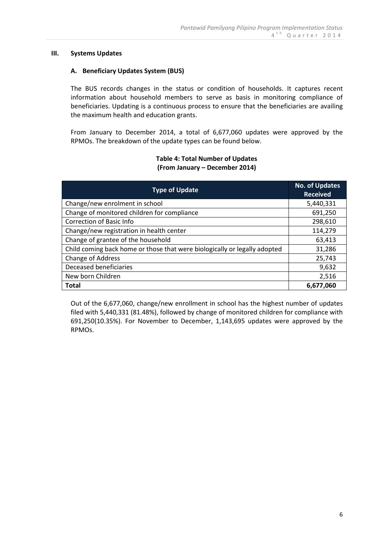#### **III. Systems Updates**

#### **A. Beneficiary Updates System (BUS)**

The BUS records changes in the status or condition of households. It captures recent information about household members to serve as basis in monitoring compliance of beneficiaries. Updating is a continuous process to ensure that the beneficiaries are availing the maximum health and education grants.

From January to December 2014, a total of 6,677,060 updates were approved by the RPMOs. The breakdown of the update types can be found below.

### **Table 4: Total Number of Updates (From January – December 2014)**

| <b>Type of Update</b>                                                     | <b>No. of Updates</b><br><b>Received</b> |
|---------------------------------------------------------------------------|------------------------------------------|
| Change/new enrolment in school                                            | 5,440,331                                |
| Change of monitored children for compliance                               | 691,250                                  |
| <b>Correction of Basic Info</b>                                           | 298,610                                  |
| Change/new registration in health center                                  | 114,279                                  |
| Change of grantee of the household                                        | 63,413                                   |
| Child coming back home or those that were biologically or legally adopted | 31,286                                   |
| Change of Address                                                         | 25,743                                   |
| Deceased beneficiaries                                                    | 9,632                                    |
| New born Children                                                         | 2,516                                    |
| <b>Total</b>                                                              | 6.677.060                                |

Out of the 6,677,060, change/new enrollment in school has the highest number of updates filed with 5,440,331 (81.48%), followed by change of monitored children for compliance with 691,250(10.35%). For November to December, 1,143,695 updates were approved by the RPMOs.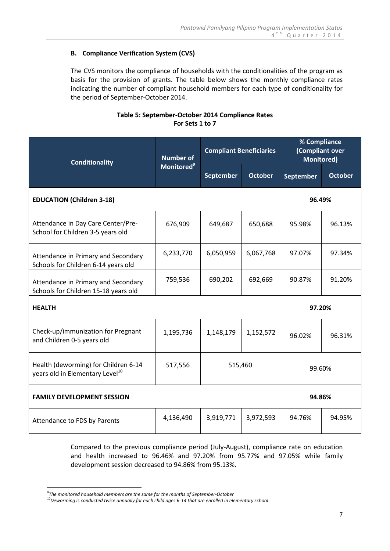# **B. Compliance Verification System (CVS)**

The CVS monitors the compliance of households with the conditionalities of the program as basis for the provision of grants. The table below shows the monthly compliance rates indicating the number of compliant household members for each type of conditionality for the period of September-October 2014.

## **Table 5: September-October 2014 Compliance Rates For Sets 1 to 7**

| <b>Conditionality</b>                                                               | <b>Number of</b>              | <b>Compliant Beneficiaries</b> |                | % Compliance<br>(Compliant over<br><b>Monitored)</b> |                |  |
|-------------------------------------------------------------------------------------|-------------------------------|--------------------------------|----------------|------------------------------------------------------|----------------|--|
|                                                                                     | <b>Monitored</b> <sup>9</sup> | <b>September</b>               | <b>October</b> | September                                            | <b>October</b> |  |
| <b>EDUCATION (Children 3-18)</b>                                                    |                               |                                |                |                                                      | 96.49%         |  |
| Attendance in Day Care Center/Pre-<br>School for Children 3-5 years old             | 676,909                       | 649,687                        | 650,688        | 95.98%                                               | 96.13%         |  |
| Attendance in Primary and Secondary<br>Schools for Children 6-14 years old          | 6,233,770                     | 6,050,959                      | 6,067,768      | 97.07%                                               | 97.34%         |  |
| Attendance in Primary and Secondary<br>Schools for Children 15-18 years old         | 759,536                       | 690,202                        | 692,669        | 90.87%                                               | 91.20%         |  |
| <b>HEALTH</b>                                                                       |                               |                                | 97.20%         |                                                      |                |  |
| Check-up/immunization for Pregnant<br>and Children 0-5 years old                    | 1,195,736                     | 1,148,179                      | 1,152,572      | 96.02%                                               | 96.31%         |  |
| Health (deworming) for Children 6-14<br>years old in Elementary Level <sup>10</sup> | 517,556                       | 515,460                        |                | 99.60%                                               |                |  |
| <b>FAMILY DEVELOPMENT SESSION</b>                                                   |                               |                                |                | 94.86%                                               |                |  |
| Attendance to FDS by Parents                                                        | 4,136,490                     | 3,919,771                      | 3,972,593      | 94.76%                                               | 94.95%         |  |

Compared to the previous compliance period (July-August), compliance rate on education and health increased to 96.46% and 97.20% from 95.77% and 97.05% while family development session decreased to 94.86% from 95.13%.

<u>.</u>

<sup>9</sup> *The monitored household members are the same for the months of September-October*

<sup>10</sup>*Deworming is conducted twice annually for each child ages 6-14 that are enrolled in elementary school*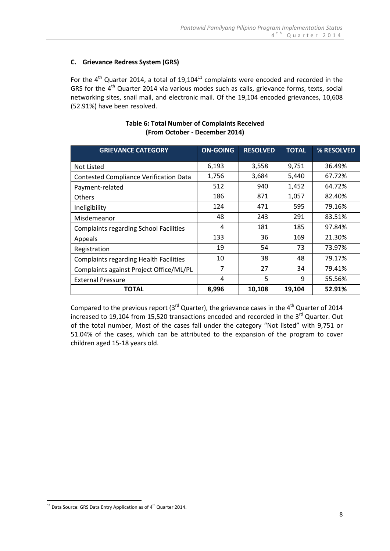# **C. Grievance Redress System (GRS)**

For the  $4<sup>th</sup>$  Quarter 2014, a total of 19,104<sup>11</sup> complaints were encoded and recorded in the GRS for the  $4<sup>th</sup>$  Quarter 2014 via various modes such as calls, grievance forms, texts, social networking sites, snail mail, and electronic mail. Of the 19,104 encoded grievances, 10,608 (52.91%) have been resolved.

| <b>GRIEVANCE CATEGORY</b>                     | <b>ON-GOING</b> | <b>RESOLVED</b> | <b>TOTAL</b> | % RESOLVED |
|-----------------------------------------------|-----------------|-----------------|--------------|------------|
| Not Listed                                    | 6,193           | 3,558           | 9,751        | 36.49%     |
| <b>Contested Compliance Verification Data</b> | 1,756           | 3,684           | 5,440        | 67.72%     |
| Payment-related                               | 512             | 940             | 1,452        | 64.72%     |
| Others                                        | 186             | 871             | 1,057        | 82.40%     |
| Ineligibility                                 | 124             | 471             | 595          | 79.16%     |
| Misdemeanor                                   | 48              | 243             | 291          | 83.51%     |
| <b>Complaints regarding School Facilities</b> | 4               | 181             | 185          | 97.84%     |
| Appeals                                       | 133             | 36              | 169          | 21.30%     |
| Registration                                  | 19              | 54              | 73           | 73.97%     |
| <b>Complaints regarding Health Facilities</b> | 10              | 38              | 48           | 79.17%     |
| Complaints against Project Office/ML/PL       | 7               | 27              | 34           | 79.41%     |
| <b>External Pressure</b>                      | 4               | 5               | 9            | 55.56%     |
| <b>TOTAL</b>                                  | 8,996           | 10,108          | 19,104       | 52.91%     |

## **Table 6: Total Number of Complaints Received (From October - December 2014)**

Compared to the previous report (3 $^{\text{rd}}$  Quarter), the grievance cases in the 4<sup>th</sup> Quarter of 2014 increased to 19,104 from 15,520 transactions encoded and recorded in the 3 $^{\text{rd}}$  Quarter. Out of the total number, Most of the cases fall under the category "Not listed" with 9,751 or 51.04% of the cases, which can be attributed to the expansion of the program to cover children aged 15-18 years old.

<sup>&</sup>lt;u>.</u>  $11$  Data Source: GRS Data Entry Application as of  $4<sup>th</sup>$  Quarter 2014.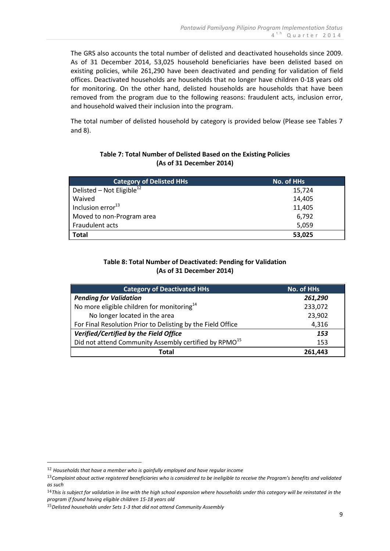The GRS also accounts the total number of delisted and deactivated households since 2009. As of 31 December 2014, 53,025 household beneficiaries have been delisted based on existing policies, while 261,290 have been deactivated and pending for validation of field offices. Deactivated households are households that no longer have children 0-18 years old for monitoring. On the other hand, delisted households are households that have been removed from the program due to the following reasons: fraudulent acts, inclusion error, and household waived their inclusion into the program.

The total number of delisted household by category is provided below (Please see Tables 7 and 8).

| Table 7: Total Number of Delisted Based on the Existing Policies |
|------------------------------------------------------------------|
| (As of 31 December 2014)                                         |

| <b>Category of Delisted HHs</b>       | No. of HHs |
|---------------------------------------|------------|
| Delisted – Not Eligible <sup>12</sup> | 15,724     |
| Waived                                | 14,405     |
| Inclusion error <sup>13</sup>         | 11,405     |
| Moved to non-Program area             | 6,792      |
| Fraudulent acts                       | 5,059      |
| <b>Total</b>                          | 53,025     |

# **Table 8: Total Number of Deactivated: Pending for Validation (As of 31 December 2014)**

| <b>Category of Deactivated HHs</b>                                | No. of HHs |
|-------------------------------------------------------------------|------------|
| <b>Pending for Validation</b>                                     | 261,290    |
| No more eligible children for monitoring <sup>14</sup>            | 233,072    |
| No longer located in the area                                     | 23,902     |
| For Final Resolution Prior to Delisting by the Field Office       | 4,316      |
| Verified/Certified by the Field Office                            | 153        |
| Did not attend Community Assembly certified by RPMO <sup>15</sup> | 153        |
| Total                                                             | 261.443    |

<u>.</u>

<sup>12</sup> *Households that have a member who is gainfully employed and have regular income*

<sup>13</sup>*Complaint about active registered beneficiaries who is considered to be ineligible to receive the Program's benefits and validated as such*

<sup>14</sup>*This is subject for validation in line with the high school expansion where households under this category will be reinstated in the program if found having eligible children 15-18 years old*

<sup>15</sup>*Delisted households under Sets 1-3 that did not attend Community Assembly*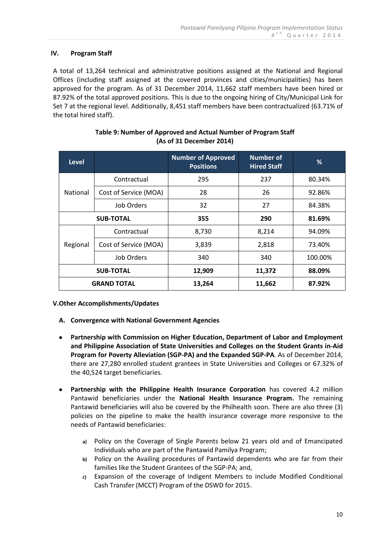## **IV. Program Staff**

A total of 13,264 technical and administrative positions assigned at the National and Regional Offices (including staff assigned at the covered provinces and cities/municipalities) has been approved for the program. As of 31 December 2014, 11,662 staff members have been hired or 87.92% of the total approved positions. This is due to the ongoing hiring of City/Municipal Link for Set 7 at the regional level. Additionally, 8,451 staff members have been contractualized (63.71% of the total hired staff).

| <b>Level</b>       |                       | <b>Number of Approved</b><br><b>Positions</b> | Number of<br><b>Hired Staff</b> | %       |
|--------------------|-----------------------|-----------------------------------------------|---------------------------------|---------|
|                    | Contractual           | 295                                           | 237                             | 80.34%  |
| <b>National</b>    | Cost of Service (MOA) | 28                                            | 26                              | 92.86%  |
|                    | Job Orders            | 32                                            | 27                              | 84.38%  |
| <b>SUB-TOTAL</b>   |                       | 355                                           | 290                             | 81.69%  |
|                    | Contractual           | 8,730                                         | 8,214                           | 94.09%  |
| Regional           | Cost of Service (MOA) | 3,839                                         | 2,818                           | 73.40%  |
|                    | Job Orders            | 340                                           | 340                             | 100.00% |
| <b>SUB-TOTAL</b>   |                       | 12,909                                        | 11,372                          | 88.09%  |
| <b>GRAND TOTAL</b> |                       | 13,264                                        | 11,662                          | 87.92%  |

## **Table 9: Number of Approved and Actual Number of Program Staff (As of 31 December 2014)**

### **V.Other Accomplishments/Updates**

- **A. Convergence with National Government Agencies**
- **Partnership with Commission on Higher Education, Department of Labor and Employment and Philippine Association of State Universities and Colleges on the Student Grants in-Aid Program for Poverty Alleviation (SGP-PA) and the Expanded SGP-PA**. As of December 2014, there are 27,280 enrolled student grantees in State Universities and Colleges or 67.32% of the 40,524 target beneficiaries.
- **Partnership with the Philippine Health Insurance Corporation** has covered 4.2 million Pantawid beneficiaries under the **National Health Insurance Program.** The remaining Pantawid beneficiaries will also be covered by the Philhealth soon. There are also three (3) policies on the pipeline to make the health insurance coverage more responsive to the needs of Pantawid beneficiaries:
	- **a)** Policy on the Coverage of Single Parents below 21 years old and of Emancipated Individuals who are part of the Pantawid Pamilya Program;
	- **b)** Policy on the Availing procedures of Pantawid dependents who are far from their families like the Student Grantees of the SGP-PA; and,
	- **c)** Expansion of the coverage of Indigent Members to include Modified Conditional Cash Transfer (MCCT) Program of the DSWD for 2015.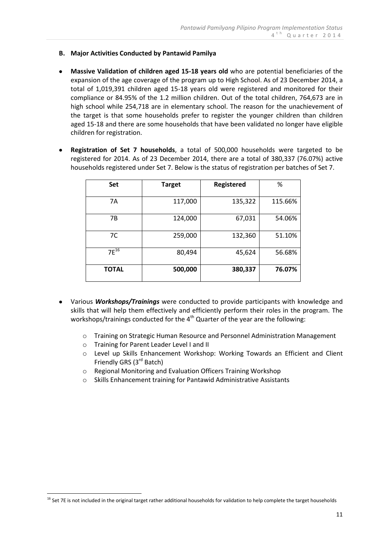## **B. Major Activities Conducted by Pantawid Pamilya**

- **Massive Validation of children aged 15-18 years old** who are potential beneficiaries of the expansion of the age coverage of the program up to High School. As of 23 December 2014, a total of 1,019,391 children aged 15-18 years old were registered and monitored for their compliance or 84.95% of the 1.2 million children. Out of the total children, 764,673 are in high school while 254,718 are in elementary school. The reason for the unachievement of the target is that some households prefer to register the younger children than children aged 15-18 and there are some households that have been validated no longer have eligible children for registration.
- **Registration of Set 7 households**, a total of 500,000 households were targeted to be registered for 2014. As of 23 December 2014, there are a total of 380,337 (76.07%) active households registered under Set 7. Below is the status of registration per batches of Set 7.

| Set          | <b>Target</b> | Registered | %       |
|--------------|---------------|------------|---------|
|              |               |            |         |
| 7A           | 117,000       | 135,322    | 115.66% |
| <b>7B</b>    | 124,000       | 67,031     | 54.06%  |
| 7C           | 259,000       | 132,360    | 51.10%  |
| $7F^{16}$    | 80,494        | 45,624     | 56.68%  |
| <b>TOTAL</b> | 500,000       | 380,337    | 76.07%  |

- Various *Workshops/Trainings* were conducted to provide participants with knowledge and skills that will help them effectively and efficiently perform their roles in the program. The workshops/trainings conducted for the  $4<sup>th</sup>$  Quarter of the year are the following:
	- o Training on Strategic Human Resource and Personnel Administration Management
	- o Training for Parent Leader Level I and II

<u>.</u>

- o Level up Skills Enhancement Workshop: Working Towards an Efficient and Client Friendly GRS (3<sup>rd</sup> Batch)
- o Regional Monitoring and Evaluation Officers Training Workshop
- Skills Enhancement training for Pantawid Administrative Assistants

 $16$  Set 7E is not included in the original target rather additional households for validation to help complete the target households